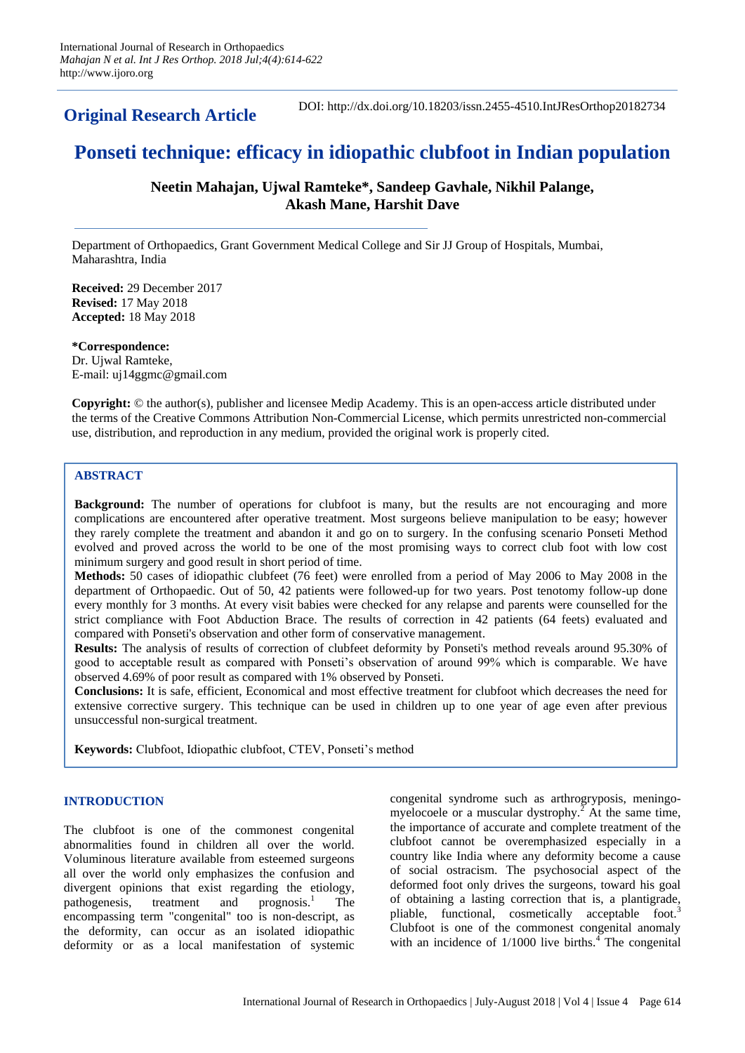**Original Research Article**

DOI: http://dx.doi.org/10.18203/issn.2455-4510.IntJResOrthop20182734

# **Ponseti technique: efficacy in idiopathic clubfoot in Indian population**

# **Neetin Mahajan, Ujwal Ramteke\*, Sandeep Gavhale, Nikhil Palange, Akash Mane, Harshit Dave**

Department of Orthopaedics, Grant Government Medical College and Sir JJ Group of Hospitals, Mumbai, Maharashtra, India

**Received:** 29 December 2017 **Revised:** 17 May 2018 **Accepted:** 18 May 2018

**\*Correspondence:** Dr. Ujwal Ramteke, E-mail: uj14ggmc@gmail.com

**Copyright:** © the author(s), publisher and licensee Medip Academy. This is an open-access article distributed under the terms of the Creative Commons Attribution Non-Commercial License, which permits unrestricted non-commercial use, distribution, and reproduction in any medium, provided the original work is properly cited.

# **ABSTRACT**

**Background:** The number of operations for clubfoot is many, but the results are not encouraging and more complications are encountered after operative treatment. Most surgeons believe manipulation to be easy; however they rarely complete the treatment and abandon it and go on to surgery. In the confusing scenario Ponseti Method evolved and proved across the world to be one of the most promising ways to correct club foot with low cost minimum surgery and good result in short period of time.

**Methods:** 50 cases of idiopathic clubfeet (76 feet) were enrolled from a period of May 2006 to May 2008 in the department of Orthopaedic. Out of 50, 42 patients were followed-up for two years. Post tenotomy follow-up done every monthly for 3 months. At every visit babies were checked for any relapse and parents were counselled for the strict compliance with Foot Abduction Brace. The results of correction in 42 patients (64 feets) evaluated and compared with Ponseti's observation and other form of conservative management.

**Results:** The analysis of results of correction of clubfeet deformity by Ponseti's method reveals around 95.30% of good to acceptable result as compared with Ponseti's observation of around 99% which is comparable. We have observed 4.69% of poor result as compared with 1% observed by Ponseti.

**Conclusions:** It is safe, efficient, Economical and most effective treatment for clubfoot which decreases the need for extensive corrective surgery. This technique can be used in children up to one year of age even after previous unsuccessful non-surgical treatment.

**Keywords:** Clubfoot, Idiopathic clubfoot, CTEV, Ponseti's method

# **INTRODUCTION**

The clubfoot is one of the commonest congenital abnormalities found in children all over the world. Voluminous literature available from esteemed surgeons all over the world only emphasizes the confusion and divergent opinions that exist regarding the etiology, pathogenesis, treatment and prognosis.<sup>1</sup> The encompassing term "congenital" too is non-descript, as the deformity, can occur as an isolated idiopathic deformity or as a local manifestation of systemic congenital syndrome such as arthrogryposis, meningomyelocoele or a muscular dystrophy.<sup>2</sup> At the same time, the importance of accurate and complete treatment of the clubfoot cannot be overemphasized especially in a country like India where any deformity become a cause of social ostracism. The psychosocial aspect of the deformed foot only drives the surgeons, toward his goal of obtaining a lasting correction that is, a plantigrade, pliable, functional, cosmetically acceptable foot.<sup>3</sup> Clubfoot is one of the commonest congenital anomaly with an incidence of  $1/1000$  live births.<sup>4</sup> The congenital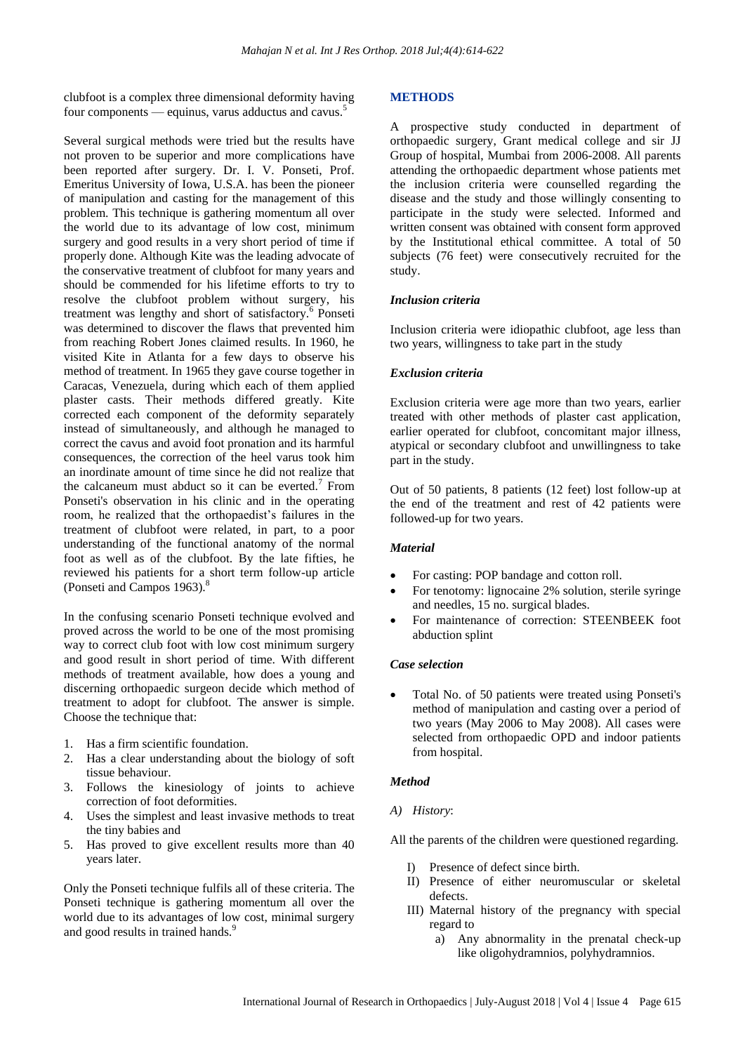clubfoot is a complex three dimensional deformity having four components — equinus, varus adductus and cavus.<sup>5</sup>

Several surgical methods were tried but the results have not proven to be superior and more complications have been reported after surgery. Dr. I. V. Ponseti, Prof. Emeritus University of Iowa, U.S.A. has been the pioneer of manipulation and casting for the management of this problem. This technique is gathering momentum all over the world due to its advantage of low cost, minimum surgery and good results in a very short period of time if properly done. Although Kite was the leading advocate of the conservative treatment of clubfoot for many years and should be commended for his lifetime efforts to try to resolve the clubfoot problem without surgery, his treatment was lengthy and short of satisfactory.<sup>6</sup> Ponseti was determined to discover the flaws that prevented him from reaching Robert Jones claimed results. In 1960, he visited Kite in Atlanta for a few days to observe his method of treatment. In 1965 they gave course together in Caracas, Venezuela, during which each of them applied plaster casts. Their methods differed greatly. Kite corrected each component of the deformity separately instead of simultaneously, and although he managed to correct the cavus and avoid foot pronation and its harmful consequences, the correction of the heel varus took him an inordinate amount of time since he did not realize that the calcaneum must abduct so it can be everted.<sup>7</sup> From Ponseti's observation in his clinic and in the operating room, he realized that the orthopaedist's failures in the treatment of clubfoot were related, in part, to a poor understanding of the functional anatomy of the normal foot as well as of the clubfoot. By the late fifties, he reviewed his patients for a short term follow-up article (Ponseti and Campos 1963).<sup>8</sup>

In the confusing scenario Ponseti technique evolved and proved across the world to be one of the most promising way to correct club foot with low cost minimum surgery and good result in short period of time. With different methods of treatment available, how does a young and discerning orthopaedic surgeon decide which method of treatment to adopt for clubfoot. The answer is simple. Choose the technique that:

- 1. Has a firm scientific foundation.
- 2. Has a clear understanding about the biology of soft tissue behaviour.
- 3. Follows the kinesiology of joints to achieve correction of foot deformities.
- 4. Uses the simplest and least invasive methods to treat the tiny babies and
- 5. Has proved to give excellent results more than 40 years later.

Only the Ponseti technique fulfils all of these criteria. The Ponseti technique is gathering momentum all over the world due to its advantages of low cost, minimal surgery and good results in trained hands.<sup>9</sup>

#### **METHODS**

A prospective study conducted in department of orthopaedic surgery, Grant medical college and sir JJ Group of hospital, Mumbai from 2006-2008. All parents attending the orthopaedic department whose patients met the inclusion criteria were counselled regarding the disease and the study and those willingly consenting to participate in the study were selected. Informed and written consent was obtained with consent form approved by the Institutional ethical committee. A total of 50 subjects (76 feet) were consecutively recruited for the study.

## *Inclusion criteria*

Inclusion criteria were idiopathic clubfoot, age less than two years, willingness to take part in the study

#### *Exclusion criteria*

Exclusion criteria were age more than two years, earlier treated with other methods of plaster cast application, earlier operated for clubfoot, concomitant major illness, atypical or secondary clubfoot and unwillingness to take part in the study.

Out of 50 patients, 8 patients (12 feet) lost follow-up at the end of the treatment and rest of 42 patients were followed-up for two years.

#### *Material*

- For casting: POP bandage and cotton roll.
- For tenotomy: lignocaine 2% solution, sterile syringe and needles, 15 no. surgical blades.
- For maintenance of correction: STEENBEEK foot abduction splint

### *Case selection*

 Total No. of 50 patients were treated using Ponseti's method of manipulation and casting over a period of two years (May 2006 to May 2008). All cases were selected from orthopaedic OPD and indoor patients from hospital.

#### *Method*

#### *A) History*:

All the parents of the children were questioned regarding.

- I) Presence of defect since birth.
- II) Presence of either neuromuscular or skeletal defects.
- III) Maternal history of the pregnancy with special regard to
	- a) Any abnormality in the prenatal check-up like oligohydramnios, polyhydramnios.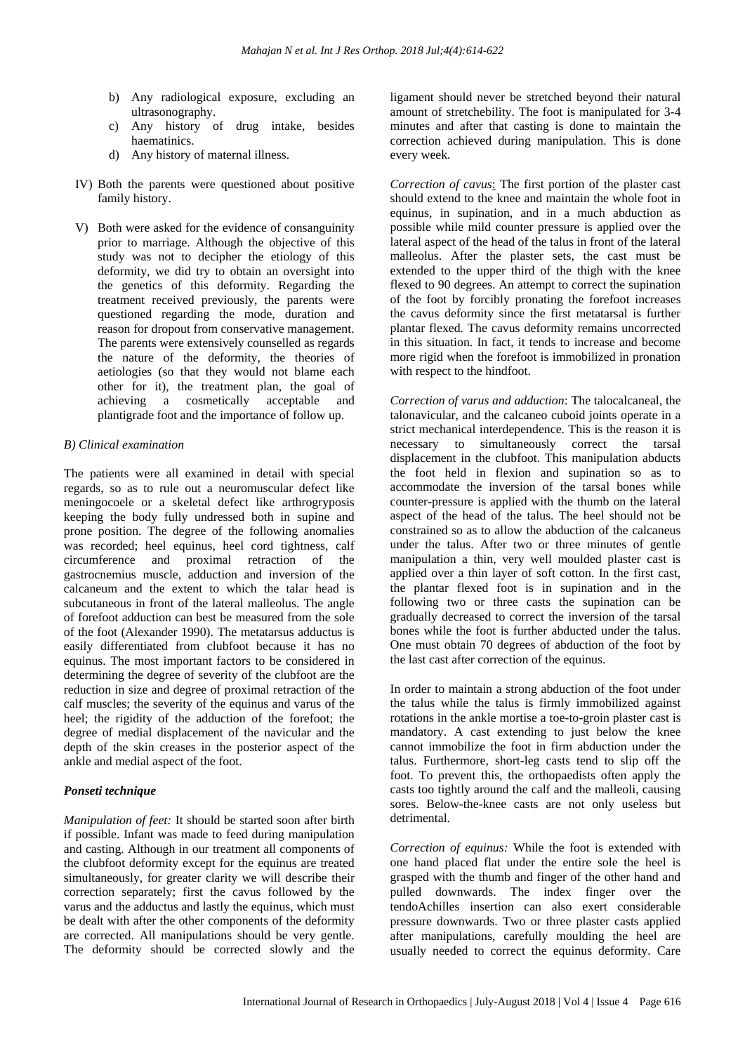- b) Any radiological exposure, excluding an ultrasonography.
- c) Any history of drug intake, besides haematinics.
- d) Any history of maternal illness.
- IV) Both the parents were questioned about positive family history.
- V) Both were asked for the evidence of consanguinity prior to marriage. Although the objective of this study was not to decipher the etiology of this deformity, we did try to obtain an oversight into the genetics of this deformity. Regarding the treatment received previously, the parents were questioned regarding the mode, duration and reason for dropout from conservative management. The parents were extensively counselled as regards the nature of the deformity, the theories of aetiologies (so that they would not blame each other for it), the treatment plan, the goal of achieving a cosmetically acceptable and plantigrade foot and the importance of follow up.

## *B) Clinical examination*

The patients were all examined in detail with special regards, so as to rule out a neuromuscular defect like meningocoele or a skeletal defect like arthrogryposis keeping the body fully undressed both in supine and prone position. The degree of the following anomalies was recorded; heel equinus, heel cord tightness, calf circumference and proximal retraction of the gastrocnemius muscle, adduction and inversion of the calcaneum and the extent to which the talar head is subcutaneous in front of the lateral malleolus. The angle of forefoot adduction can best be measured from the sole of the foot (Alexander 1990). The metatarsus adductus is easily differentiated from clubfoot because it has no equinus. The most important factors to be considered in determining the degree of severity of the clubfoot are the reduction in size and degree of proximal retraction of the calf muscles; the severity of the equinus and varus of the heel; the rigidity of the adduction of the forefoot; the degree of medial displacement of the navicular and the depth of the skin creases in the posterior aspect of the ankle and medial aspect of the foot.

# *Ponseti technique*

*Manipulation of feet:* It should be started soon after birth if possible. Infant was made to feed during manipulation and casting. Although in our treatment all components of the clubfoot deformity except for the equinus are treated simultaneously, for greater clarity we will describe their correction separately; first the cavus followed by the varus and the adductus and lastly the equinus, which must be dealt with after the other components of the deformity are corrected. All manipulations should be very gentle. The deformity should be corrected slowly and the ligament should never be stretched beyond their natural amount of stretchebility. The foot is manipulated for 3-4 minutes and after that casting is done to maintain the correction achieved during manipulation. This is done every week.

*Correction of cavus*: The first portion of the plaster cast should extend to the knee and maintain the whole foot in equinus, in supination, and in a much abduction as possible while mild counter pressure is applied over the lateral aspect of the head of the talus in front of the lateral malleolus. After the plaster sets, the cast must be extended to the upper third of the thigh with the knee flexed to 90 degrees. An attempt to correct the supination of the foot by forcibly pronating the forefoot increases the cavus deformity since the first metatarsal is further plantar flexed. The cavus deformity remains uncorrected in this situation. In fact, it tends to increase and become more rigid when the forefoot is immobilized in pronation with respect to the hindfoot.

*Correction of varus and adduction*: The talocalcaneal, the talonavicular, and the calcaneo cuboid joints operate in a strict mechanical interdependence. This is the reason it is necessary to simultaneously correct the tarsal displacement in the clubfoot. This manipulation abducts the foot held in flexion and supination so as to accommodate the inversion of the tarsal bones while counter-pressure is applied with the thumb on the lateral aspect of the head of the talus. The heel should not be constrained so as to allow the abduction of the calcaneus under the talus. After two or three minutes of gentle manipulation a thin, very well moulded plaster cast is applied over a thin layer of soft cotton. In the first cast, the plantar flexed foot is in supination and in the following two or three casts the supination can be gradually decreased to correct the inversion of the tarsal bones while the foot is further abducted under the talus. One must obtain 70 degrees of abduction of the foot by the last cast after correction of the equinus.

In order to maintain a strong abduction of the foot under the talus while the talus is firmly immobilized against rotations in the ankle mortise a toe-to-groin plaster cast is mandatory. A cast extending to just below the knee cannot immobilize the foot in firm abduction under the talus. Furthermore, short-leg casts tend to slip off the foot. To prevent this, the orthopaedists often apply the casts too tightly around the calf and the malleoli, causing sores. Below-the-knee casts are not only useless but detrimental.

*Correction of equinus:* While the foot is extended with one hand placed flat under the entire sole the heel is grasped with the thumb and finger of the other hand and pulled downwards. The index finger over the tendoAchilles insertion can also exert considerable pressure downwards. Two or three plaster casts applied after manipulations, carefully moulding the heel are usually needed to correct the equinus deformity. Care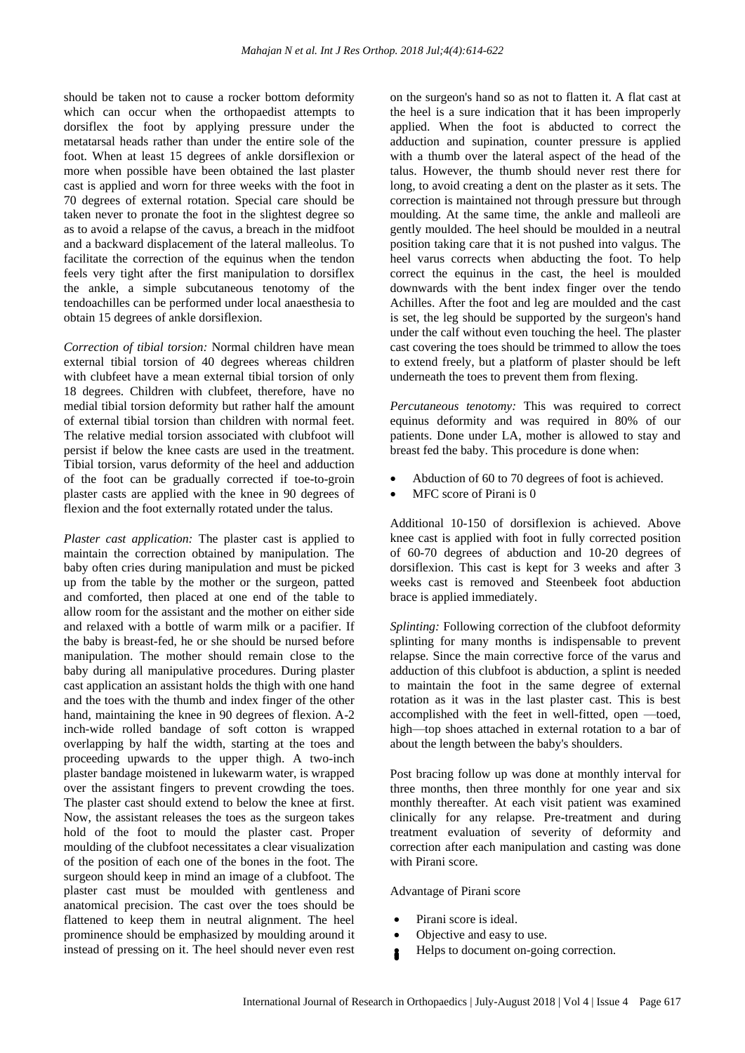should be taken not to cause a rocker bottom deformity which can occur when the orthopaedist attempts to dorsiflex the foot by applying pressure under the metatarsal heads rather than under the entire sole of the foot. When at least 15 degrees of ankle dorsiflexion or more when possible have been obtained the last plaster cast is applied and worn for three weeks with the foot in 70 degrees of external rotation. Special care should be taken never to pronate the foot in the slightest degree so as to avoid a relapse of the cavus, a breach in the midfoot and a backward displacement of the lateral malleolus. To facilitate the correction of the equinus when the tendon feels very tight after the first manipulation to dorsiflex the ankle, a simple subcutaneous tenotomy of the tendoachilles can be performed under local anaesthesia to obtain 15 degrees of ankle dorsiflexion.

*Correction of tibial torsion:* Normal children have mean external tibial torsion of 40 degrees whereas children with clubfeet have a mean external tibial torsion of only 18 degrees. Children with clubfeet, therefore, have no medial tibial torsion deformity but rather half the amount of external tibial torsion than children with normal feet. The relative medial torsion associated with clubfoot will persist if below the knee casts are used in the treatment. Tibial torsion, varus deformity of the heel and adduction of the foot can be gradually corrected if toe-to-groin plaster casts are applied with the knee in 90 degrees of flexion and the foot externally rotated under the talus.

*Plaster cast application:* The plaster cast is applied to maintain the correction obtained by manipulation. The baby often cries during manipulation and must be picked up from the table by the mother or the surgeon, patted and comforted, then placed at one end of the table to allow room for the assistant and the mother on either side and relaxed with a bottle of warm milk or a pacifier. If the baby is breast-fed, he or she should be nursed before manipulation. The mother should remain close to the baby during all manipulative procedures. During plaster cast application an assistant holds the thigh with one hand and the toes with the thumb and index finger of the other hand, maintaining the knee in 90 degrees of flexion. A-2 inch-wide rolled bandage of soft cotton is wrapped overlapping by half the width, starting at the toes and proceeding upwards to the upper thigh. A two-inch plaster bandage moistened in lukewarm water, is wrapped over the assistant fingers to prevent crowding the toes. The plaster cast should extend to below the knee at first. Now, the assistant releases the toes as the surgeon takes hold of the foot to mould the plaster cast. Proper moulding of the clubfoot necessitates a clear visualization of the position of each one of the bones in the foot. The surgeon should keep in mind an image of a clubfoot. The plaster cast must be moulded with gentleness and anatomical precision. The cast over the toes should be flattened to keep them in neutral alignment. The heel prominence should be emphasized by moulding around it instead of pressing on it. The heel should never even rest on the surgeon's hand so as not to flatten it. A flat cast at the heel is a sure indication that it has been improperly applied. When the foot is abducted to correct the adduction and supination, counter pressure is applied with a thumb over the lateral aspect of the head of the talus. However, the thumb should never rest there for long, to avoid creating a dent on the plaster as it sets. The correction is maintained not through pressure but through moulding. At the same time, the ankle and malleoli are gently moulded. The heel should be moulded in a neutral position taking care that it is not pushed into valgus. The heel varus corrects when abducting the foot. To help correct the equinus in the cast, the heel is moulded downwards with the bent index finger over the tendo Achilles. After the foot and leg are moulded and the cast is set, the leg should be supported by the surgeon's hand under the calf without even touching the heel. The plaster cast covering the toes should be trimmed to allow the toes to extend freely, but a platform of plaster should be left underneath the toes to prevent them from flexing.

*Percutaneous tenotomy:* This was required to correct equinus deformity and was required in 80% of our patients. Done under LA, mother is allowed to stay and breast fed the baby. This procedure is done when:

- Abduction of 60 to 70 degrees of foot is achieved.
- MFC score of Pirani is 0

Additional 10-150 of dorsiflexion is achieved. Above knee cast is applied with foot in fully corrected position of 60-70 degrees of abduction and 10-20 degrees of dorsiflexion. This cast is kept for 3 weeks and after 3 weeks cast is removed and Steenbeek foot abduction brace is applied immediately.

*Splinting:* Following correction of the clubfoot deformity splinting for many months is indispensable to prevent relapse. Since the main corrective force of the varus and adduction of this clubfoot is abduction, a splint is needed to maintain the foot in the same degree of external rotation as it was in the last plaster cast. This is best accomplished with the feet in well-fitted, open —toed, high—top shoes attached in external rotation to a bar of about the length between the baby's shoulders.

Post bracing follow up was done at monthly interval for three months, then three monthly for one year and six monthly thereafter. At each visit patient was examined clinically for any relapse. Pre-treatment and during treatment evaluation of severity of deformity and correction after each manipulation and casting was done with Pirani score.

### Advantage of Pirani score

- Pirani score is ideal.
- Objective and easy to use.
- Helps to document on-going correction.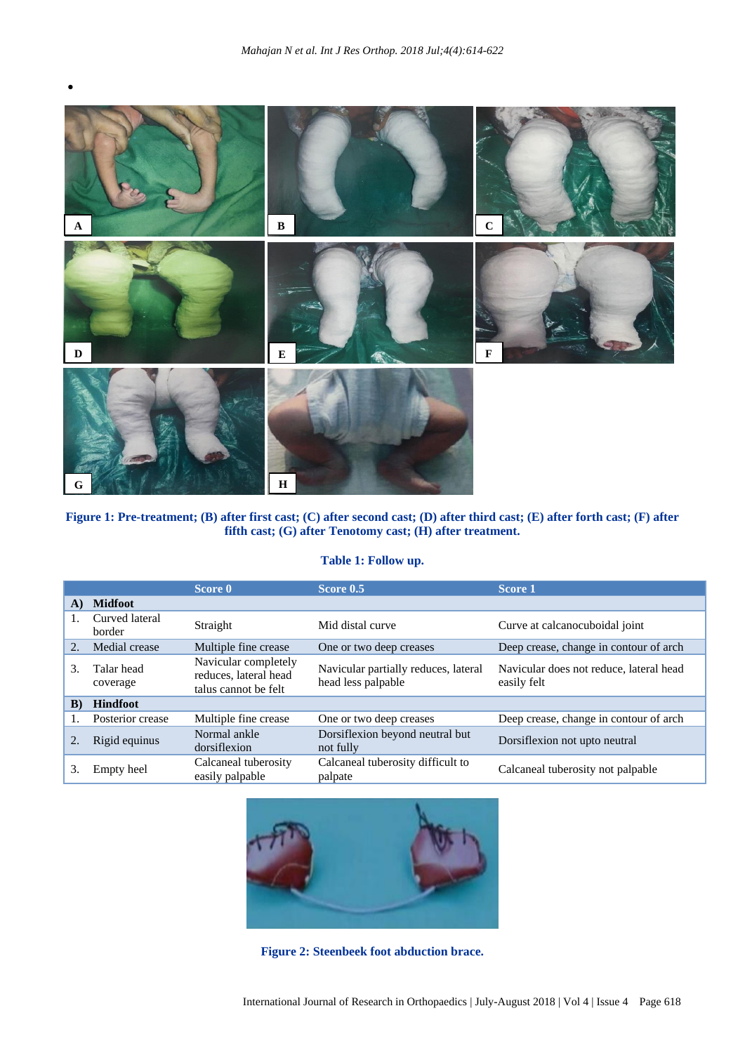

# **Figure 1: Pre-treatment; (B) after first cast; (C) after second cast; (D) after third cast; (E) after forth cast; (F) after fifth cast; (G) after Tenotomy cast; (H) after treatment.**

# **Table 1: Follow up.**

|    |                          | Score 0                                                               | Score 0.5                                                  | Score 1                                                |
|----|--------------------------|-----------------------------------------------------------------------|------------------------------------------------------------|--------------------------------------------------------|
| A) | <b>Midfoot</b>           |                                                                       |                                                            |                                                        |
|    | Curved lateral<br>border | Straight                                                              | Mid distal curve                                           | Curve at calcanocuboidal joint                         |
| 2. | Medial crease            | Multiple fine crease                                                  | One or two deep creases                                    | Deep crease, change in contour of arch                 |
| 3. | Talar head<br>coverage   | Navicular completely<br>reduces, lateral head<br>talus cannot be felt | Navicular partially reduces, lateral<br>head less palpable | Navicular does not reduce, lateral head<br>easily felt |
| B) | <b>Hindfoot</b>          |                                                                       |                                                            |                                                        |
|    | Posterior crease         | Multiple fine crease                                                  | One or two deep creases                                    | Deep crease, change in contour of arch                 |
|    | Rigid equinus            | Normal ankle<br>dorsiflexion                                          | Dorsiflexion beyond neutral but<br>not fully               | Dorsiflexion not upto neutral                          |
| 3. | Empty heel               | Calcaneal tuberosity<br>easily palpable                               | Calcaneal tuberosity difficult to<br>palpate               | Calcaneal tuberosity not palpable                      |



**Figure 2: Steenbeek foot abduction brace.**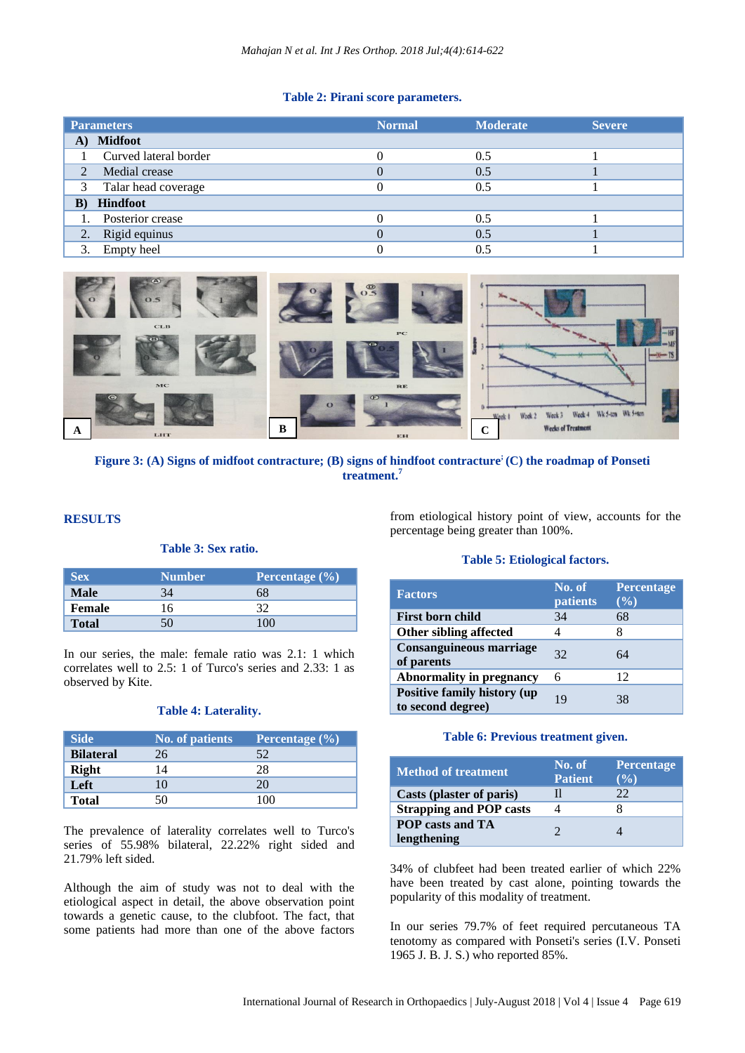### **Table 2: Pirani score parameters.**

|                | <b>Parameters</b>     | <b>Normal</b> | <b>Moderate</b> | <b>Severe</b> |
|----------------|-----------------------|---------------|-----------------|---------------|
|                | A) Midfoot            |               |                 |               |
|                | Curved lateral border |               | 0.5             |               |
| $\mathfrak{D}$ | Medial crease         |               | 0.5             |               |
| 3              | Talar head coverage   |               | 0.5             |               |
| $\bf{B}$       | <b>Hindfoot</b>       |               |                 |               |
|                | 1. Posterior crease   |               | 0.5             |               |
| 2.             | Rigid equinus         |               | 0.5             |               |
| 3.             | Empty heel            |               | 0.5             |               |



**Figure 3: (A) Signs of midfoot contracture; (B) signs of hindfoot contracture; (C) the roadmap of Ponseti treatment. 7**

### **RESULTS**

# **Table 3: Sex ratio.**

| <b>Sex</b>   | <b>Number</b> | Percentage $(\% )$ |
|--------------|---------------|--------------------|
| Male         |               |                    |
| Female       |               |                    |
| <b>Total</b> |               |                    |

In our series, the male: female ratio was 2.1: 1 which correlates well to 2.5: 1 of Turco's series and 2.33: 1 as observed by Kite.

#### **Table 4: Laterality.**

| <b>Side</b>      | <b>No. of patients</b> | Percentage (%) |
|------------------|------------------------|----------------|
| <b>Bilateral</b> | 26                     | 52             |
| Right            | 14                     | 28             |
| Left             | 10                     | 20             |
| <b>Total</b>     | 50                     | 100            |

The prevalence of laterality correlates well to Turco's series of 55.98% bilateral, 22.22% right sided and 21.79% left sided.

Although the aim of study was not to deal with the etiological aspect in detail, the above observation point towards a genetic cause, to the clubfoot. The fact, that some patients had more than one of the above factors

from etiological history point of view, accounts for the percentage being greater than 100%.

### **Table 5: Etiological factors.**

| <b>Factors</b>                                          | No. of<br>patients | Percentage<br>$(\%)$ |
|---------------------------------------------------------|--------------------|----------------------|
| <b>First born child</b>                                 | 34                 | 68                   |
| Other sibling affected                                  |                    | 8                    |
| <b>Consanguineous marriage</b><br>of parents            | 32                 | 64                   |
| <b>Abnormality in pregnancy</b>                         | 6                  | 12                   |
| <b>Positive family history (up</b><br>to second degree) | 19                 | 38                   |

### **Table 6: Previous treatment given.**

| <b>Method of treatment</b>             | No. of<br><b>Patient</b> | <b>Percentage</b><br>$($ %) |
|----------------------------------------|--------------------------|-----------------------------|
| Casts (plaster of paris)               | н                        | フフ                          |
| <b>Strapping and POP casts</b>         |                          |                             |
| <b>POP</b> casts and TA<br>lengthening |                          |                             |

34% of clubfeet had been treated earlier of which 22% have been treated by cast alone, pointing towards the popularity of this modality of treatment.

In our series 79.7% of feet required percutaneous TA tenotomy as compared with Ponseti's series (I.V. Ponseti 1965 J. B. J. S.) who reported 85%.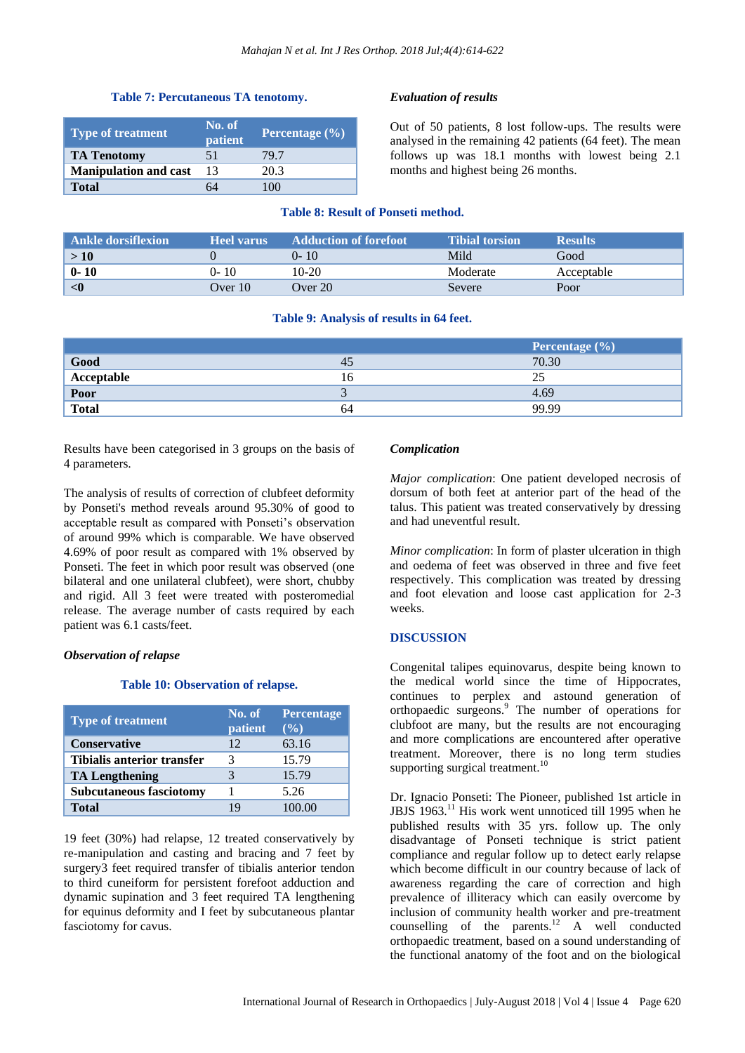# **Table 7: Percutaneous TA tenotomy.**

| <b>Type of treatment</b>     | No. of<br>patient | <b>Percentage</b> $(\%)$ |
|------------------------------|-------------------|--------------------------|
| <b>TA Tenotomy</b>           | 51                | 79.7                     |
| <b>Manipulation and cast</b> | 13                | 20.3                     |
| <b>Total</b>                 |                   | 100                      |

## *Evaluation of results*

Out of 50 patients, 8 lost follow-ups. The results were analysed in the remaining 42 patients (64 feet). The mean follows up was 18.1 months with lowest being 2.1 months and highest being 26 months.

# **Table 8: Result of Ponseti method.**

| Ankle dorsifiexion | <b>Heel varus</b> | <b>Adduction of forefoot</b> | <b>Tibial torsion</b> | <b>Results</b> |
|--------------------|-------------------|------------------------------|-----------------------|----------------|
| >10                |                   | $0 - 10$                     | Mild                  | Good           |
| $0 - 10$           | 0- 10             | 10-20                        | Moderate              | Acceptable     |
| $\langle$ 0        | Over 10           | Over $20^{\circ}$            | Severe                | Poor           |

### **Table 9: Analysis of results in 64 feet.**

|            |    | <b>Percentage</b> $(\%)$ |
|------------|----|--------------------------|
| Good       | 45 | 70.30                    |
| Acceptable | 16 | 25                       |
| Poor       |    | 4.69                     |
| Total      | 64 | 99.99                    |

Results have been categorised in 3 groups on the basis of 4 parameters.

The analysis of results of correction of clubfeet deformity by Ponseti's method reveals around 95.30% of good to acceptable result as compared with Ponseti's observation of around 99% which is comparable. We have observed 4.69% of poor result as compared with 1% observed by Ponseti. The feet in which poor result was observed (one bilateral and one unilateral clubfeet), were short, chubby and rigid. All 3 feet were treated with posteromedial release. The average number of casts required by each patient was 6.1 casts/feet.

### *Observation of relapse*

### **Table 10: Observation of relapse.**

| <b>Type of treatment</b>          | No. of<br>patient | <b>Percentage</b><br>$($ %) |  |
|-----------------------------------|-------------------|-----------------------------|--|
| <b>Conservative</b>               | 12                | 63.16                       |  |
| <b>Tibialis anterior transfer</b> |                   | 15.79                       |  |
| <b>TA Lengthening</b>             |                   | 15.79                       |  |
| <b>Subcutaneous fasciotomy</b>    |                   | 5.26                        |  |
| <b>Total</b>                      | 19                | 100.00                      |  |

19 feet (30%) had relapse, 12 treated conservatively by re-manipulation and casting and bracing and 7 feet by surgery3 feet required transfer of tibialis anterior tendon to third cuneiform for persistent forefoot adduction and dynamic supination and 3 feet required TA lengthening for equinus deformity and I feet by subcutaneous plantar fasciotomy for cavus.

#### *Complication*

*Major complication*: One patient developed necrosis of dorsum of both feet at anterior part of the head of the talus. This patient was treated conservatively by dressing and had uneventful result.

*Minor complication*: In form of plaster ulceration in thigh and oedema of feet was observed in three and five feet respectively. This complication was treated by dressing and foot elevation and loose cast application for 2-3 weeks.

### **DISCUSSION**

Congenital talipes equinovarus, despite being known to the medical world since the time of Hippocrates, continues to perplex and astound generation of orthopaedic surgeons. <sup>9</sup> The number of operations for clubfoot are many, but the results are not encouraging and more complications are encountered after operative treatment. Moreover, there is no long term studies supporting surgical treatment.<sup>10</sup>

Dr. Ignacio Ponseti: The Pioneer, published 1st article in JBJS 1963.<sup>11</sup> His work went unnoticed till 1995 when he published results with 35 yrs. follow up. The only disadvantage of Ponseti technique is strict patient compliance and regular follow up to detect early relapse which become difficult in our country because of lack of awareness regarding the care of correction and high prevalence of illiteracy which can easily overcome by inclusion of community health worker and pre-treatment counselling of the parents.<sup>12</sup> A well conducted orthopaedic treatment, based on a sound understanding of the functional anatomy of the foot and on the biological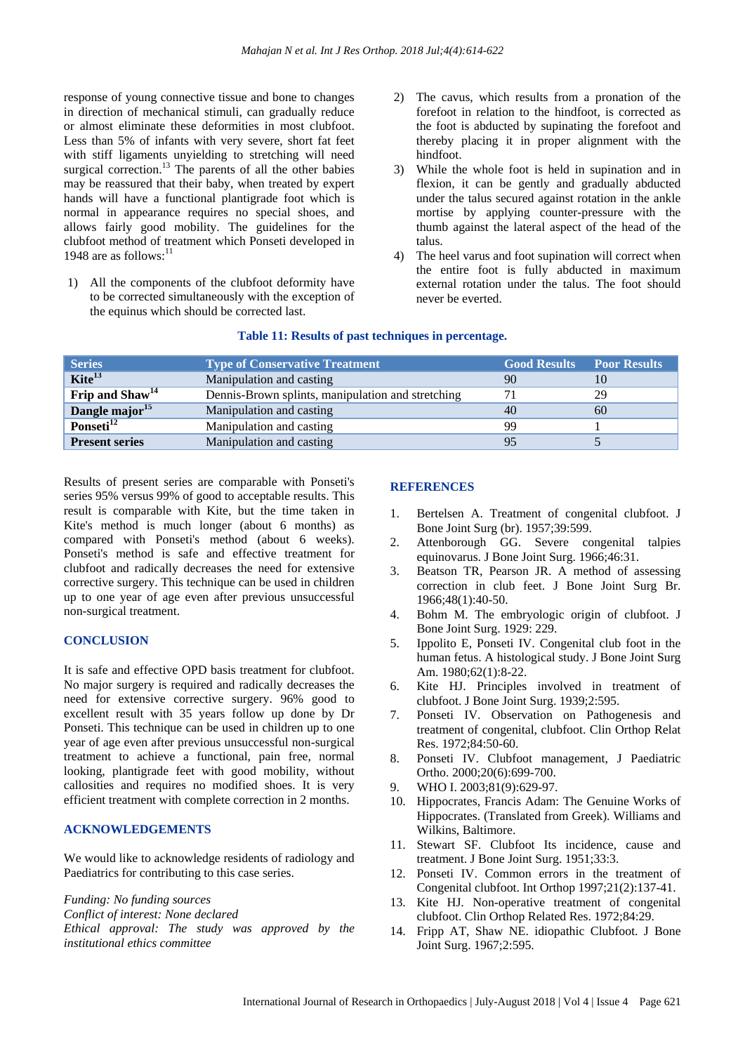response of young connective tissue and bone to changes in direction of mechanical stimuli, can gradually reduce or almost eliminate these deformities in most clubfoot. Less than 5% of infants with very severe, short fat feet with stiff ligaments unyielding to stretching will need surgical correction.<sup>13</sup> The parents of all the other babies may be reassured that their baby, when treated by expert hands will have a functional plantigrade foot which is normal in appearance requires no special shoes, and allows fairly good mobility. The guidelines for the clubfoot method of treatment which Ponseti developed in 1948 are as follows:<sup>11</sup>

1) All the components of the clubfoot deformity have to be corrected simultaneously with the exception of the equinus which should be corrected last.

- 2) The cavus, which results from a pronation of the forefoot in relation to the hindfoot, is corrected as the foot is abducted by supinating the forefoot and thereby placing it in proper alignment with the hindfoot.
- 3) While the whole foot is held in supination and in flexion, it can be gently and gradually abducted under the talus secured against rotation in the ankle mortise by applying counter-pressure with the thumb against the lateral aspect of the head of the talus.
- 4) The heel varus and foot supination will correct when the entire foot is fully abducted in maximum external rotation under the talus. The foot should never be everted.

| <b>Series</b>               | <b>Type of Conservative Treatment</b>             | <b>Good Results</b> Poor Results |    |
|-----------------------------|---------------------------------------------------|----------------------------------|----|
| Kite <sup>13</sup>          | Manipulation and casting                          | 90                               |    |
| Frip and Shaw <sup>14</sup> | Dennis-Brown splints, manipulation and stretching |                                  | 29 |
| Dangle major <sup>15</sup>  | Manipulation and casting                          | 40                               | 60 |
| Ponseti <sup>12</sup>       | Manipulation and casting                          | 99                               |    |
| <b>Present series</b>       | Manipulation and casting                          | 95                               |    |
|                             |                                                   |                                  |    |

# **Table 11: Results of past techniques in percentage.**

Results of present series are comparable with Ponseti's series 95% versus 99% of good to acceptable results. This result is comparable with Kite, but the time taken in Kite's method is much longer (about 6 months) as compared with Ponseti's method (about 6 weeks). Ponseti's method is safe and effective treatment for clubfoot and radically decreases the need for extensive corrective surgery. This technique can be used in children up to one year of age even after previous unsuccessful non-surgical treatment.

### **CONCLUSION**

It is safe and effective OPD basis treatment for clubfoot. No major surgery is required and radically decreases the need for extensive corrective surgery. 96% good to excellent result with 35 years follow up done by Dr Ponseti. This technique can be used in children up to one year of age even after previous unsuccessful non-surgical treatment to achieve a functional, pain free, normal looking, plantigrade feet with good mobility, without callosities and requires no modified shoes. It is very efficient treatment with complete correction in 2 months.

# **ACKNOWLEDGEMENTS**

We would like to acknowledge residents of radiology and Paediatrics for contributing to this case series.

*Funding: No funding sources*

*Conflict of interest: None declared*

*Ethical approval: The study was approved by the institutional ethics committee*

# **REFERENCES**

- 1. Bertelsen A. Treatment of congenital clubfoot. J Bone Joint Surg (br). 1957;39:599.
- 2. Attenborough GG. Severe congenital talpies equinovarus. J Bone Joint Surg. 1966;46:31.
- 3. Beatson TR, Pearson JR. A method of assessing correction in club feet. J Bone Joint Surg Br. 1966;48(1):40-50.
- 4. Bohm M. The embryologic origin of clubfoot. J Bone Joint Surg. 1929: 229.
- 5. Ippolito E, Ponseti IV. Congenital club foot in the human fetus. A histological study. J Bone Joint Surg Am. 1980;62(1):8-22.
- 6. Kite HJ. Principles involved in treatment of clubfoot. J Bone Joint Surg. 1939;2:595.
- 7. Ponseti IV. Observation on Pathogenesis and treatment of congenital, clubfoot. Clin Orthop Relat Res. 1972;84:50-60.
- 8. Ponseti IV. Clubfoot management, J Paediatric Ortho. 2000;20(6):699-700.
- 9. WHO I. 2003;81(9):629-97.
- 10. Hippocrates, Francis Adam: The Genuine Works of Hippocrates. (Translated from Greek). Williams and Wilkins, Baltimore.
- 11. Stewart SF. Clubfoot Its incidence, cause and treatment. J Bone Joint Surg. 1951;33:3.
- 12. Ponseti IV. Common errors in the treatment of Congenital clubfoot. Int Orthop 1997;21(2):137-41.
- 13. Kite HJ. Non-operative treatment of congenital clubfoot. Clin Orthop Related Res. 1972;84:29.
- 14. Fripp AT, Shaw NE. idiopathic Clubfoot. J Bone Joint Surg. 1967;2:595.